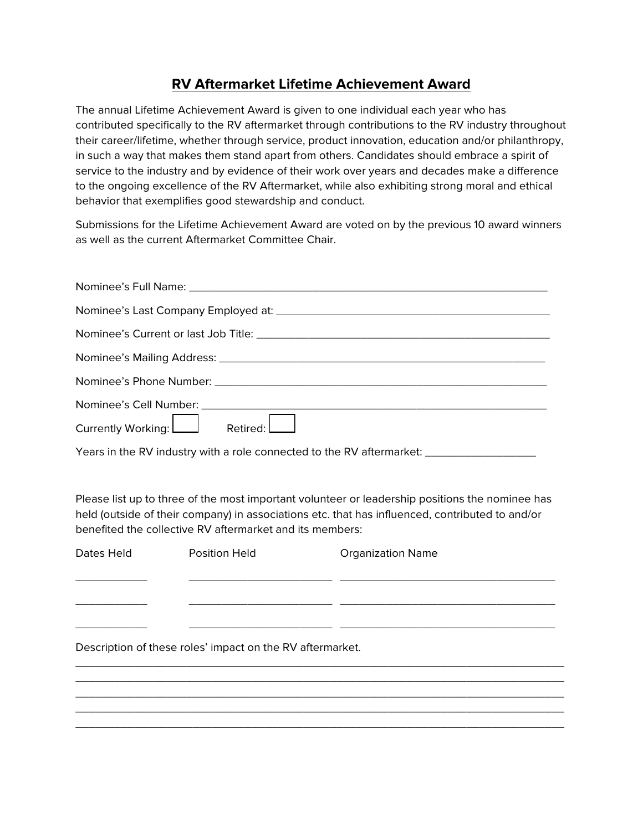## **RV Aftermarket Lifetime Achievement Award**

The annual Lifetime Achievement Award is given to one individual each year who has contributed specifically to the RV aftermarket through contributions to the RV industry throughout their career/lifetime, whether through service, product innovation, education and/or philanthropy, in such a way that makes them stand apart from others. Candidates should embrace a spirit of service to the industry and by evidence of their work over years and decades make a difference to the ongoing excellence of the RV Aftermarket, while also exhibiting strong moral and ethical behavior that exemplifies good stewardship and conduct.

Submissions for the Lifetime Achievement Award are voted on by the previous 10 award winners as well as the current Aftermarket Committee Chair.

| Currently Working: Retired: |
|-----------------------------|

Years in the RV industry with a role connected to the RV aftermarket: \_\_\_\_\_\_\_\_\_\_\_

Please list up to three of the most important volunteer or leadership positions the nominee has held (outside of their company) in associations etc. that has influenced, contributed to and/or benefited the collective RV aftermarket and its members:

Dates Held **Position Held Canadian Constructs** Organization Name \_\_\_\_\_\_\_\_\_\_\_ \_\_\_\_\_\_\_\_\_\_\_\_\_\_\_\_\_\_\_\_\_\_ \_\_\_\_\_\_\_\_\_\_\_\_\_\_\_\_\_\_\_\_\_\_\_\_\_\_\_\_\_\_\_\_\_  $\frac{1}{2}$  ,  $\frac{1}{2}$  ,  $\frac{1}{2}$  ,  $\frac{1}{2}$  ,  $\frac{1}{2}$  ,  $\frac{1}{2}$  ,  $\frac{1}{2}$  ,  $\frac{1}{2}$  ,  $\frac{1}{2}$  ,  $\frac{1}{2}$  ,  $\frac{1}{2}$  ,  $\frac{1}{2}$  ,  $\frac{1}{2}$  ,  $\frac{1}{2}$  ,  $\frac{1}{2}$  ,  $\frac{1}{2}$  ,  $\frac{1}{2}$  ,  $\frac{1}{2}$  ,  $\frac{1$ \_\_\_\_\_\_\_\_\_\_\_ \_\_\_\_\_\_\_\_\_\_\_\_\_\_\_\_\_\_\_\_\_\_ \_\_\_\_\_\_\_\_\_\_\_\_\_\_\_\_\_\_\_\_\_\_\_\_\_\_\_\_\_\_\_\_\_ Description of these roles' impact on the RV aftermarket. \_\_\_\_\_\_\_\_\_\_\_\_\_\_\_\_\_\_\_\_\_\_\_\_\_\_\_\_\_\_\_\_\_\_\_\_\_\_\_\_\_\_\_\_\_\_\_\_\_\_\_\_\_\_\_\_\_\_\_\_\_\_\_\_\_\_\_\_\_\_\_\_\_\_\_ \_\_\_\_\_\_\_\_\_\_\_\_\_\_\_\_\_\_\_\_\_\_\_\_\_\_\_\_\_\_\_\_\_\_\_\_\_\_\_\_\_\_\_\_\_\_\_\_\_\_\_\_\_\_\_\_\_\_\_\_\_\_\_\_\_\_\_\_\_\_\_\_\_\_\_ \_\_\_\_\_\_\_\_\_\_\_\_\_\_\_\_\_\_\_\_\_\_\_\_\_\_\_\_\_\_\_\_\_\_\_\_\_\_\_\_\_\_\_\_\_\_\_\_\_\_\_\_\_\_\_\_\_\_\_\_\_\_\_\_\_\_\_\_\_\_\_\_\_\_\_ \_\_\_\_\_\_\_\_\_\_\_\_\_\_\_\_\_\_\_\_\_\_\_\_\_\_\_\_\_\_\_\_\_\_\_\_\_\_\_\_\_\_\_\_\_\_\_\_\_\_\_\_\_\_\_\_\_\_\_\_\_\_\_\_\_\_\_\_\_\_\_\_\_\_\_ \_\_\_\_\_\_\_\_\_\_\_\_\_\_\_\_\_\_\_\_\_\_\_\_\_\_\_\_\_\_\_\_\_\_\_\_\_\_\_\_\_\_\_\_\_\_\_\_\_\_\_\_\_\_\_\_\_\_\_\_\_\_\_\_\_\_\_\_\_\_\_\_\_\_\_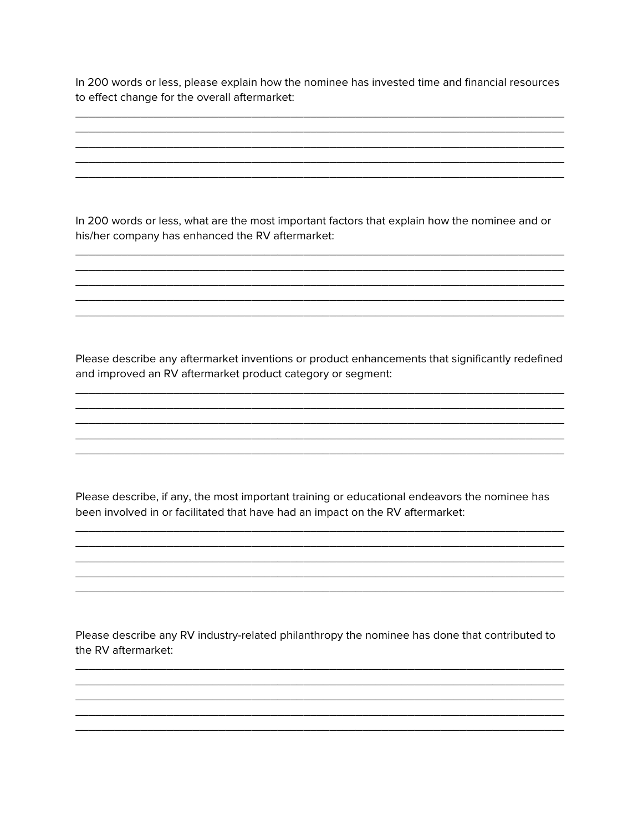In 200 words or less, please explain how the nominee has invested time and financial resources to effect change for the overall aftermarket:

In 200 words or less, what are the most important factors that explain how the nominee and or his/her company has enhanced the RV aftermarket:

Please describe any aftermarket inventions or product enhancements that significantly redefined and improved an RV aftermarket product category or segment:

Please describe, if any, the most important training or educational endeavors the nominee has been involved in or facilitated that have had an impact on the RV aftermarket:

Please describe any RV industry-related philanthropy the nominee has done that contributed to the RV aftermarket: